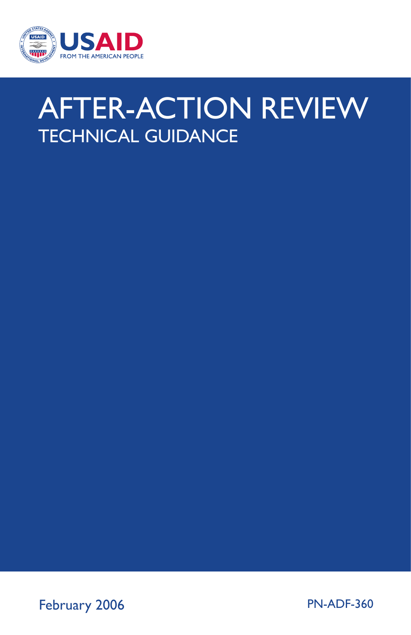

## AFTER-ACTION REVIEW TECHNICAL GUIDANCE

February 2006 PN-ADF-360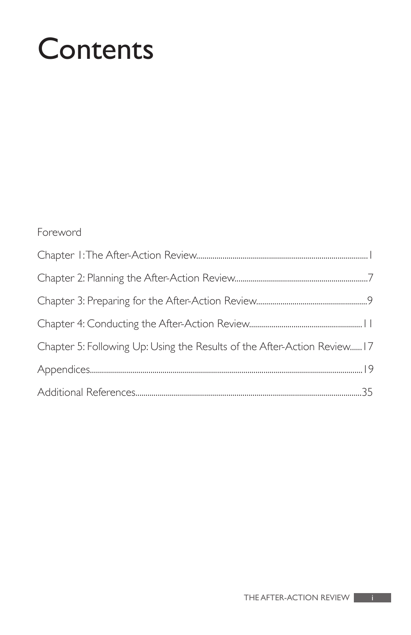# **Contents**

#### Foreword

| Chapter 5: Following Up: Using the Results of the After-Action Review 17 |  |
|--------------------------------------------------------------------------|--|
|                                                                          |  |
|                                                                          |  |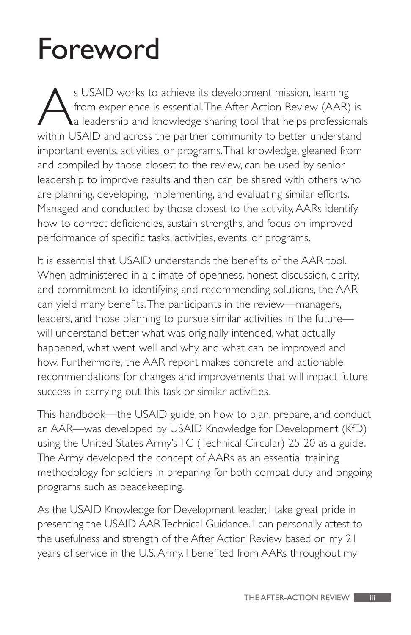# Foreword

S USAID works to achieve its development mission, learning<br>from experience is essential. The After-Action Review (AAR)<br>a leadership and knowledge sharing tool that helps profession<br>within USAID and across the partner commu from experience is essential.The After-Action Review (AAR) is a leadership and knowledge sharing tool that helps professionals within USAID and across the partner community to better understand important events, activities, or programs.That knowledge, gleaned from and compiled by those closest to the review, can be used by senior leadership to improve results and then can be shared with others who are planning, developing, implementing, and evaluating similar efforts. Managed and conducted by those closest to the activity, AARs identify how to correct deficiencies, sustain strengths, and focus on improved performance of specific tasks, activities, events, or programs.

It is essential that USAID understands the benefits of the AAR tool. When administered in a climate of openness, honest discussion, clarity, and commitment to identifying and recommending solutions, the AAR can yield many benefits. The participants in the review—managers, leaders, and those planning to pursue similar activities in the future will understand better what was originally intended, what actually happened, what went well and why, and what can be improved and how. Furthermore, the AAR report makes concrete and actionable recommendations for changes and improvements that will impact future success in carrying out this task or similar activities.

This handbook—the USAID guide on how to plan, prepare, and conduct an AAR—was developed by USAID Knowledge for Development (KfD) using the United States Army's TC (Technical Circular) 25-20 as a guide. The Army developed the concept of AARs as an essential training methodology for soldiers in preparing for both combat duty and ongoing programs such as peacekeeping.

As the USAID Knowledge for Development leader, I take great pride in presenting the USAID AAR Technical Guidance. I can personally attest to the usefulness and strength of the After Action Review based on my 21 years of service in the U.S. Army. I benefited from AARs throughout my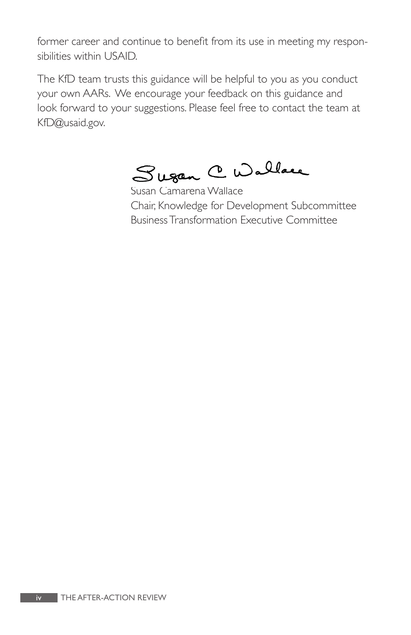former career and continue to benefit from its use in meeting my respon-. sibilities within USAID.<br>The KfD team trusts this guidance will be helpful to you as you conduct

your own AARs. We encourage your feedback on this guidance and look forward to your suggestions. Please feel free to contact the team at KfD@usaid.gov.

Sugan C Wallace

Susan Camarena Wallace Chair, Knowledge for Development Subcommittee Business Transformation Executive Committee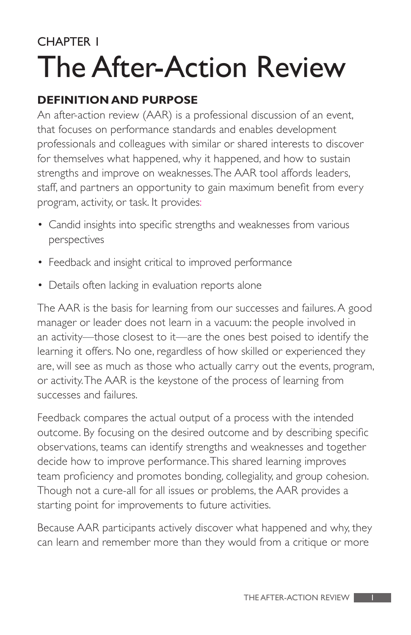### CHAPTER 1 The After-Action Review

#### **DEFINITION AND PURPOSE**

An after-action review (AAR) is a professional discussion of an event, that focuses on performance standards and enables development professionals and colleagues with similar or shared interests to discover for themselves what happened, why it happened, and how to sustain strengths and improve on weaknesses.The AAR tool affords leaders, staff, and partners an opportunity to gain maximum benefit from every program, activity, or task. It provides:

- Candid insights into specific strengths and weaknesses from various perspectives
- Feedback and insight critical to improved performance
- Details often lacking in evaluation reports alone

The AAR is the basis for learning from our successes and failures. A good manager or leader does not learn in a vacuum: the people involved in an activity—those closest to it—are the ones best poised to identify the learning it offers. No one, regardless of how skilled or experienced they are, will see as much as those who actually carry out the events, program, or activity.The AAR is the keystone of the process of learning from successes and failures.

Feedback compares the actual output of a process with the intended outcome. By focusing on the desired outcome and by describing specific observations, teams can identify strengths and weaknesses and together decide how to improve performance.This shared learning improves team proficiency and promotes bonding, collegiality, and group cohesion. Though not a cure-all for all issues or problems, the AAR provides a starting point for improvements to future activities.

Because AAR participants actively discover what happened and why, they can learn and remember more than they would from a critique or more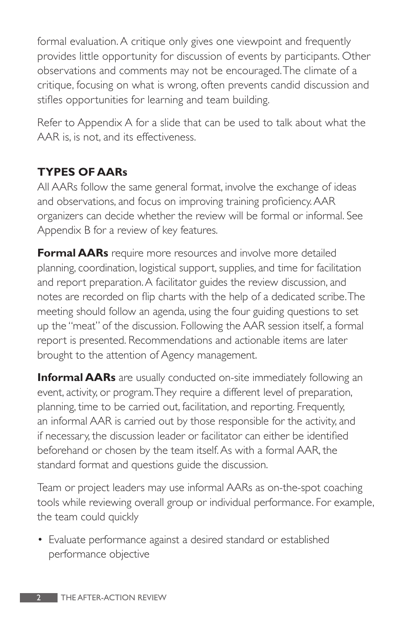formal evaluation. A critique only gives one viewpoint and frequently provides little opportunity for discussion of events by participants. Other observations and comments may not be encouraged.The climate of a critique, focusing on what is wrong, often prevents candid discussion and stifles opportunities for learning and team building.

Refer to Appendix A for a slide that can be used to talk about what the AAR is, is not, and its effectiveness.

#### **TYPES OF AARs**

All AARs follow the same general format, involve the exchange of ideas and observations, and focus on improving training proficiency. AAR organizers can decide whether the review will be formal or informal. See Appendix B for a review of key features.

**Formal AARs** require more resources and involve more detailed planning, coordination, logistical support, supplies, and time for facilitation and report preparation. A facilitator guides the review discussion, and notes are recorded on flip charts with the help of a dedicated scribe.The meeting should follow an agenda, using the four guiding questions to set up the "meat" of the discussion. Following the AAR session itself, a formal report is presented. Recommendations and actionable items are later brought to the attention of Agency management.

**Informal AARs** are usually conducted on-site immediately following an event, activity, or program.They require a different level of preparation, planning, time to be carried out, facilitation, and reporting. Frequently, an informal AAR is carried out by those responsible for the activity, and if necessary, the discussion leader or facilitator can either be identified beforehand or chosen by the team itself. As with a formal AAR, the standard format and questions guide the discussion.

Team or project leaders may use informal AARs as on-the-spot coaching tools while reviewing overall group or individual performance. For example, the team could quickly

• Evaluate performance against a desired standard or established performance objective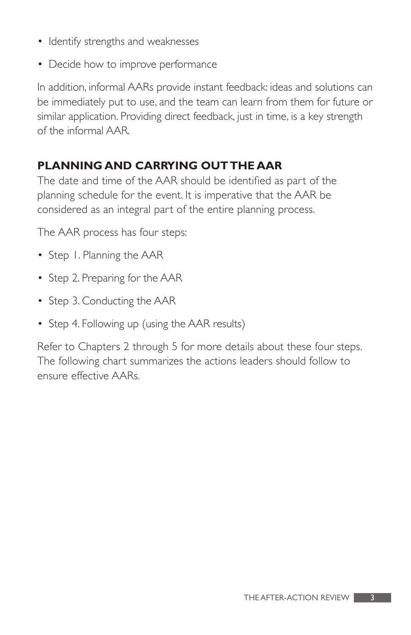- Identify strengths and weaknesses
- Decide how to improve performance

In addition, informal AARs provide instant feedback: ideas and solutions can be immediately put to use, and the team can learn from them for future or similar application. Providing direct feedback, just in time, is a key strength of the informal AAR.

#### **PLANNING AND CARRYING OUT THE AAR**

The date and time of the AAR should be identified as part of the planning schedule for the event. It is imperative that the AAR be considered as an integral part of the entire planning process.

The AAR process has four steps:

- Step 1. Planning the AAR
- Step 2. Preparing for the AAR
- Step 3. Conducting the AAR
- Step 4. Following up (using the AAR results)

Refer to Chapters 2 through 5 for more details about these four steps. The following chart summarizes the actions leaders should follow to ensure effective AARs.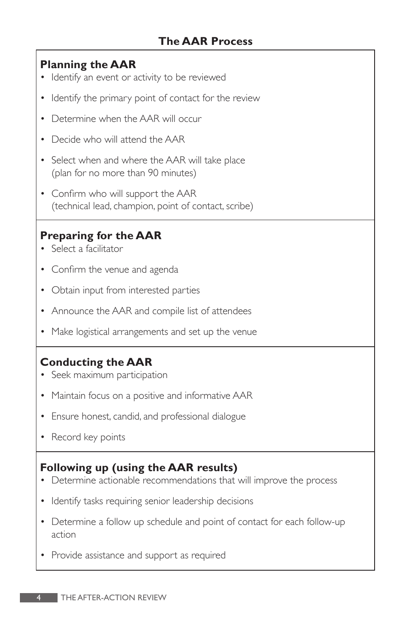#### **Planning the AAR**

- Identify an event or activity to be reviewed
- Identify the primary point of contact for the review
- Determine when the AAR will occur
- Decide who will attend the AAR
- Select when and where the AAR will take place (plan for no more than 90 minutes)
- Confirm who will support the AAR (technical lead, champion, point of contact, scribe)

#### **Preparing for the AAR**

- Select a facilitator
- Confirm the venue and agenda
- Obtain input from interested parties
- Announce the AAR and compile list of attendees
- Make logistical arrangements and set up the venue

#### **Conducting the AAR**

- Seek maximum participation
- Maintain focus on a positive and informative AAR
- Ensure honest, candid, and professional dialogue
- Record key points

#### **Following up (using the AAR results)**

- Determine actionable recommendations that will improve the process
- Identify tasks requiring senior leadership decisions
- Determine a follow up schedule and point of contact for each follow-up action
- Provide assistance and support as required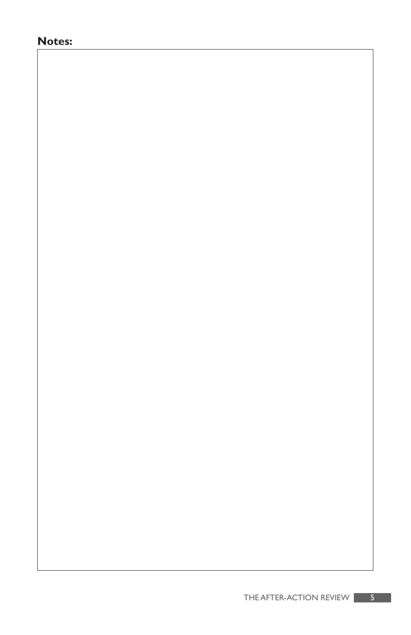#### **Notes:**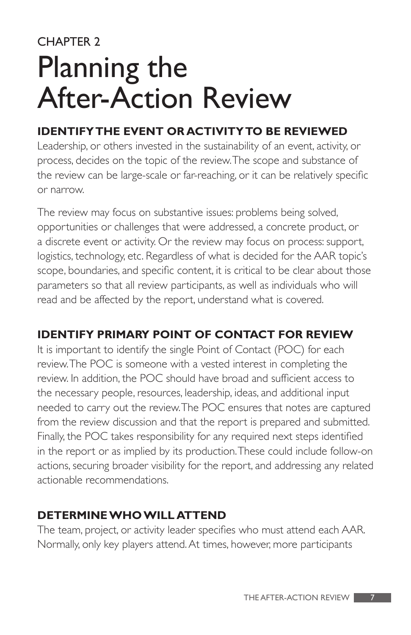## CHAPTER 2 Planning the After-Action Review

#### **IDENTIFY THE EVENT OR ACTIVITY TO BE REVIEWED**

Leadership, or others invested in the sustainability of an event, activity, or process, decides on the topic of the review.The scope and substance of the review can be large-scale or far-reaching, or it can be relatively specific or narrow.

The review may focus on substantive issues: problems being solved, opportunities or challenges that were addressed, a concrete product, or a discrete event or activity. Or the review may focus on process: support, logistics, technology, etc. Regardless of what is decided for the AAR topic's scope, boundaries, and specific content, it is critical to be clear about those parameters so that all review participants, as well as individuals who will read and be affected by the report, understand what is covered.

#### **IDENTIFY PRIMARY POINT OF CONTACT FOR REVIEW**

It is important to identify the single Point of Contact (POC) for each review.The POC is someone with a vested interest in completing the review. In addition, the POC should have broad and sufficient access to the necessary people, resources, leadership, ideas, and additional input needed to carry out the review.The POC ensures that notes are captured from the review discussion and that the report is prepared and submitted. Finally, the POC takes responsibility for any required next steps identified in the report or as implied by its production.These could include follow-on actions, securing broader visibility for the report, and addressing any related actionable recommendations.

#### **DETERMINE WHO WILL ATTEND**

The team, project, or activity leader specifies who must attend each AAR. Normally, only key players attend. At times, however, more participants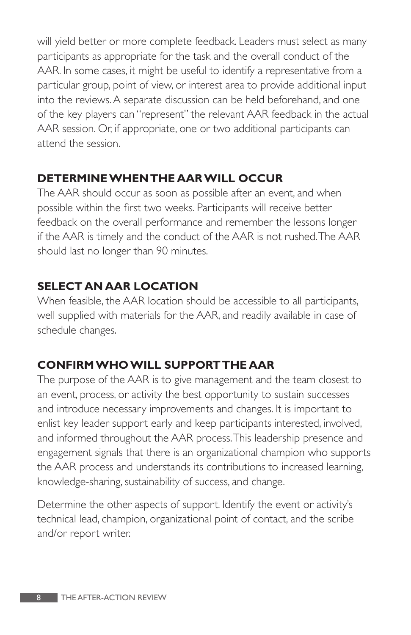will yield better or more complete feedback. Leaders must select as many participants as appropriate for the task and the overall conduct of the AAR. In some cases, it might be useful to identify a representative from a particular group, point of view, or interest area to provide additional input into the reviews. A separate discussion can be held beforehand, and one of the key players can "represent" the relevant AAR feedback in the actual AAR session. Or, if appropriate, one or two additional participants can attend the session.

#### **DETERMINE WHEN THE AAR WILL OCCUR**

The AAR should occur as soon as possible after an event, and when possible within the first two weeks. Participants will receive better feedback on the overall performance and remember the lessons longer if the AAR is timely and the conduct of the AAR is not rushed.The AAR should last no longer than 90 minutes.

#### **SELECT AN AAR LOCATION**

When feasible, the AAR location should be accessible to all participants, well supplied with materials for the AAR, and readily available in case of schedule changes.

#### **CONFIRM WHO WILL SUPPORT THE AAR**

The purpose of the AAR is to give management and the team closest to an event, process, or activity the best opportunity to sustain successes and introduce necessary improvements and changes. It is important to enlist key leader support early and keep participants interested, involved, and informed throughout the AAR process.This leadership presence and engagement signals that there is an organizational champion who supports the AAR process and understands its contributions to increased learning, knowledge-sharing, sustainability of success, and change.

Determine the other aspects of support. Identify the event or activity's technical lead, champion, organizational point of contact, and the scribe and/or report writer.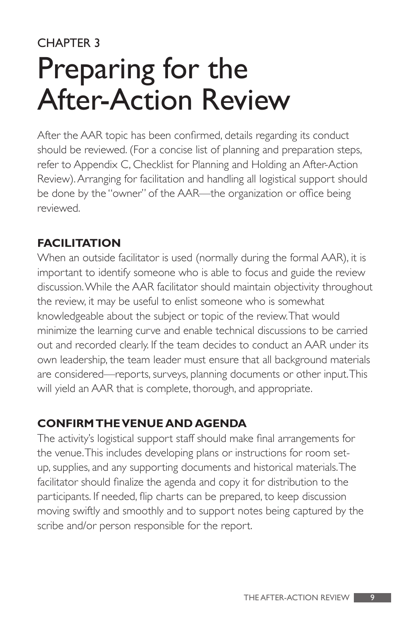### CHAPTER 3 Preparing for the After-Action Review

After the AAR topic has been confirmed, details regarding its conduct should be reviewed. (For a concise list of planning and preparation steps, refer to Appendix C, Checklist for Planning and Holding an After-Action Review). Arranging for facilitation and handling all logistical support should be done by the "owner" of the AAR—the organization or office being reviewed.

#### **FACILITATION**

When an outside facilitator is used (normally during the formal AAR), it is important to identify someone who is able to focus and guide the review discussion. While the AAR facilitator should maintain objectivity throughout the review, it may be useful to enlist someone who is somewhat knowledgeable about the subject or topic of the review.That would minimize the learning curve and enable technical discussions to be carried out and recorded clearly. If the team decides to conduct an AAR under its own leadership, the team leader must ensure that all background materials are considered—reports, surveys, planning documents or other input.This will yield an AAR that is complete, thorough, and appropriate.

#### **CONFIRM THE VENUE AND AGENDA**

The activity's logistical support staff should make final arrangements for the venue.This includes developing plans or instructions for room setup, supplies, and any supporting documents and historical materials.The facilitator should finalize the agenda and copy it for distribution to the participants. If needed, flip charts can be prepared, to keep discussion moving swiftly and smoothly and to support notes being captured by the scribe and/or person responsible for the report.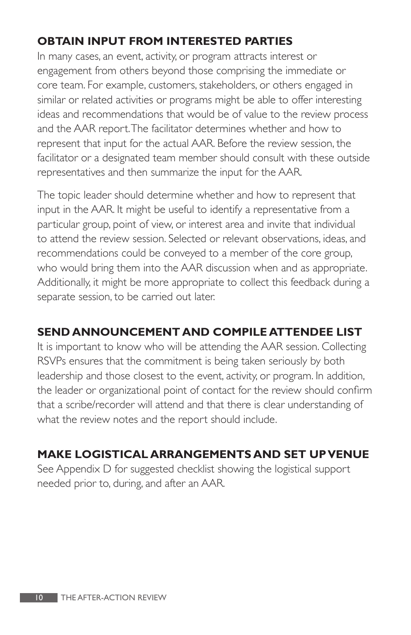#### **OBTAIN INPUT FROM INTERESTED PARTIES**

In many cases, an event, activity, or program attracts interest or engagement from others beyond those comprising the immediate or core team. For example, customers, stakeholders, or others engaged in similar or related activities or programs might be able to offer interesting ideas and recommendations that would be of value to the review process and the AAR report.The facilitator determines whether and how to represent that input for the actual AAR. Before the review session, the facilitator or a designated team member should consult with these outside representatives and then summarize the input for the AAR.

The topic leader should determine whether and how to represent that input in the AAR. It might be useful to identify a representative from a particular group, point of view, or interest area and invite that individual to attend the review session. Selected or relevant observations, ideas, and recommendations could be conveyed to a member of the core group, who would bring them into the AAR discussion when and as appropriate. Additionally, it might be more appropriate to collect this feedback during a separate session, to be carried out later.

#### **SEND ANNOUNCEMENT AND COMPILE ATTENDEE LIST**

It is important to know who will be attending the AAR session. Collecting RSVPs ensures that the commitment is being taken seriously by both leadership and those closest to the event, activity, or program. In addition, the leader or organizational point of contact for the review should confirm that a scribe/recorder will attend and that there is clear understanding of what the review notes and the report should include.

#### **MAKE LOGISTICAL ARRANGEMENTS AND SET UP VENUE**

See Appendix D for suggested checklist showing the logistical support needed prior to, during, and after an AAR.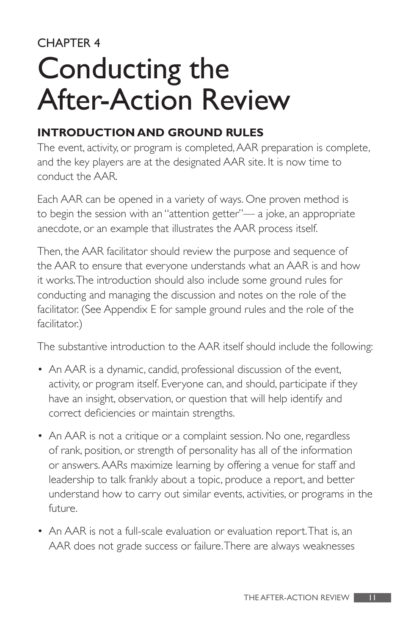## CHAPTER 4 Conducting the After-Action Review

#### **INTRODUCTION AND GROUND RULES**

The event, activity, or program is completed, AAR preparation is complete, and the key players are at the designated AAR site. It is now time to conduct the AAR.

Each AAR can be opened in a variety of ways. One proven method is to begin the session with an "attention getter"— a joke, an appropriate anecdote, or an example that illustrates the AAR process itself.

Then, the AAR facilitator should review the purpose and sequence of the AAR to ensure that everyone understands what an AAR is and how it works.The introduction should also include some ground rules for conducting and managing the discussion and notes on the role of the facilitator. (See Appendix E for sample ground rules and the role of the facilitator.)

The substantive introduction to the AAR itself should include the following:

- An AAR is a dynamic, candid, professional discussion of the event, activity, or program itself. Everyone can, and should, participate if they have an insight, observation, or question that will help identify and correct deficiencies or maintain strengths.
- An AAR is not a critique or a complaint session. No one, regardless of rank, position, or strength of personality has all of the information or answers. AARs maximize learning by offering a venue for staff and leadership to talk frankly about a topic, produce a report, and better understand how to carry out similar events, activities, or programs in the future.
- An AAR is not a full-scale evaluation or evaluation report.That is, an AAR does not grade success or failure.There are always weaknesses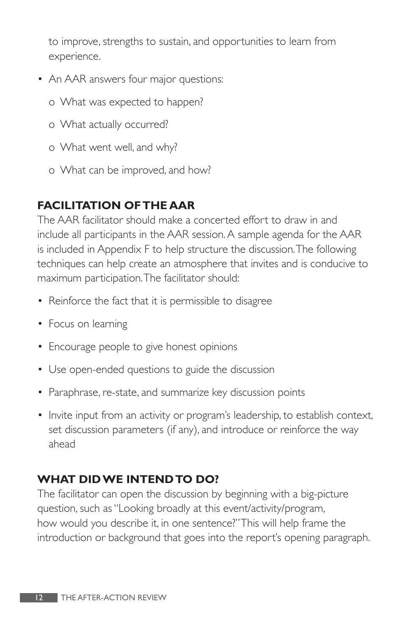to improve, strengths to sustain, and opportunities to learn from experience.

- An AAR answers four major questions:
	- o What was expected to happen?
	- o What actually occurred?
	- o What went well, and why?
	- o What can be improved, and how?

#### **FACILITATION OF THE AAR**

The AAR facilitator should make a concerted effort to draw in and include all participants in the AAR session. A sample agenda for the AAR is included in Appendix F to help structure the discussion.The following techniques can help create an atmosphere that invites and is conducive to maximum participation.The facilitator should:

- Reinforce the fact that it is permissible to disagree
- Focus on learning
- Encourage people to give honest opinions
- Use open-ended questions to guide the discussion
- Paraphrase, re-state, and summarize key discussion points
- Invite input from an activity or program's leadership, to establish context, set discussion parameters (if any), and introduce or reinforce the way ahead

#### **WHAT DID WE INTEND TO DO?**

The facilitator can open the discussion by beginning with a big-picture question, such as "Looking broadly at this event/activity/program, how would you describe it, in one sentence?"This will help frame the introduction or background that goes into the report's opening paragraph.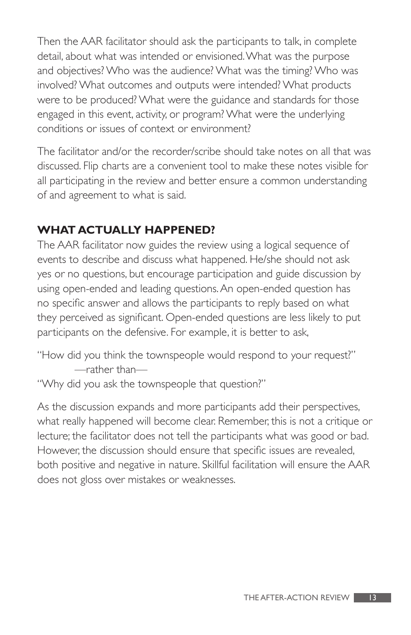Then the AAR facilitator should ask the participants to talk, in complete detail, about what was intended or envisioned. What was the purpose and objectives? Who was the audience? What was the timing? Who was involved? What outcomes and outputs were intended? What products were to be produced? What were the guidance and standards for those engaged in this event, activity, or program? What were the underlying conditions or issues of context or environment?

The facilitator and/or the recorder/scribe should take notes on all that was discussed. Flip charts are a convenient tool to make these notes visible for all participating in the review and better ensure a common understanding of and agreement to what is said.

#### **WHAT ACTUALLY HAPPENED?**

The AAR facilitator now guides the review using a logical sequence of events to describe and discuss what happened. He/she should not ask yes or no questions, but encourage participation and guide discussion by using open-ended and leading questions. An open-ended question has no specific answer and allows the participants to reply based on what they perceived as significant. Open-ended questions are less likely to put participants on the defensive. For example, it is better to ask,

"How did you think the townspeople would respond to your request?" —rather than—

"Why did you ask the townspeople that question?"

As the discussion expands and more participants add their perspectives, what really happened will become clear. Remember, this is not a critique or lecture; the facilitator does not tell the participants what was good or bad. However, the discussion should ensure that specific issues are revealed, both positive and negative in nature. Skillful facilitation will ensure the AAR does not gloss over mistakes or weaknesses.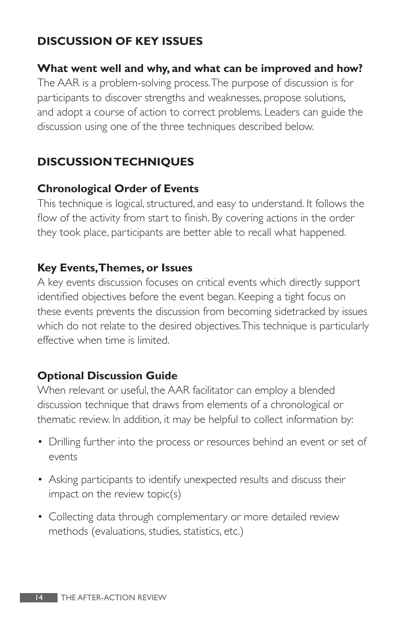#### **DISCUSSION OF KEY ISSUES**

#### **What went well and why, and what can be improved and how?**

The AAR is a problem-solving process.The purpose of discussion is for participants to discover strengths and weaknesses, propose solutions, and adopt a course of action to correct problems. Leaders can guide the discussion using one of the three techniques described below.

#### **DISCUSSION TECHNIQUES**

#### **Chronological Order of Events**

This technique is logical, structured, and easy to understand. It follows the flow of the activity from start to finish. By covering actions in the order they took place, participants are better able to recall what happened.

#### **Key Events,Themes, or Issues**

A key events discussion focuses on critical events which directly support identified objectives before the event began. Keeping a tight focus on these events prevents the discussion from becoming sidetracked by issues which do not relate to the desired objectives.This technique is particularly effective when time is limited.

#### **Optional Discussion Guide**

When relevant or useful, the AAR facilitator can employ a blended discussion technique that draws from elements of a chronological or thematic review. In addition, it may be helpful to collect information by:

- Drilling further into the process or resources behind an event or set of events
- Asking participants to identify unexpected results and discuss their impact on the review topic(s)
- Collecting data through complementary or more detailed review methods (evaluations, studies, statistics, etc.)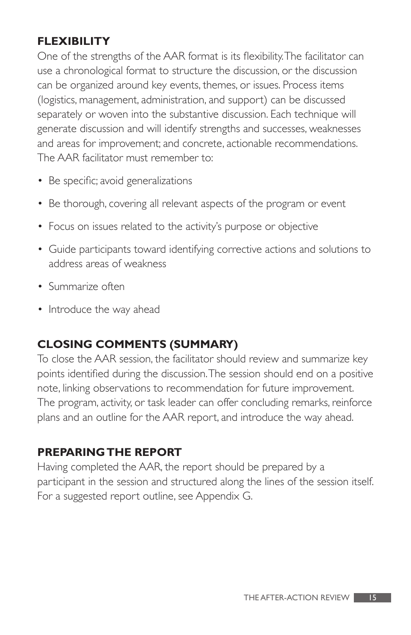#### **FLEXIBILITY**

One of the strengths of the AAR format is its flexibility.The facilitator can use a chronological format to structure the discussion, or the discussion can be organized around key events, themes, or issues. Process items (logistics, management, administration, and support) can be discussed separately or woven into the substantive discussion. Each technique will generate discussion and will identify strengths and successes, weaknesses and areas for improvement; and concrete, actionable recommendations. The AAR facilitator must remember to:

- Be specific; avoid generalizations
- Be thorough, covering all relevant aspects of the program or event
- Focus on issues related to the activity's purpose or objective
- Guide participants toward identifying corrective actions and solutions to address areas of weakness
- Summarize often
- Introduce the way ahead

#### **CLOSING COMMENTS (SUMMARY)**

To close the AAR session, the facilitator should review and summarize key points identified during the discussion.The session should end on a positive note, linking observations to recommendation for future improvement. The program, activity, or task leader can offer concluding remarks, reinforce plans and an outline for the AAR report, and introduce the way ahead.

#### **PREPARING THE REPORT**

Having completed the AAR, the report should be prepared by a participant in the session and structured along the lines of the session itself. For a suggested report outline, see Appendix G.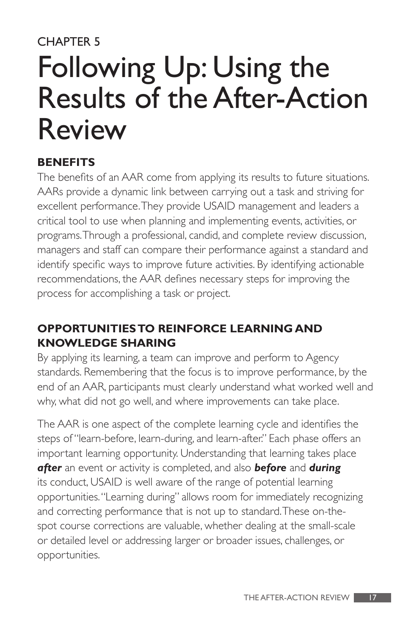## CHAPTER 5 Following Up: Using the Results of the After-Action Review

#### **BENEFITS**

The benefits of an AAR come from applying its results to future situations. AARs provide a dynamic link between carrying out a task and striving for excellent performance.They provide USAID management and leaders a critical tool to use when planning and implementing events, activities, or programs.Through a professional, candid, and complete review discussion, managers and staff can compare their performance against a standard and identify specific ways to improve future activities. By identifying actionable recommendations, the AAR defines necessary steps for improving the process for accomplishing a task or project.

#### **OPPORTUNITIES TO REINFORCE LEARNING AND KNOWLEDGE SHARING**

By applying its learning, a team can improve and perform to Agency standards. Remembering that the focus is to improve performance, by the end of an AAR, participants must clearly understand what worked well and why, what did not go well, and where improvements can take place.

The AAR is one aspect of the complete learning cycle and identifies the steps of "learn-before, learn-during, and learn-after." Each phase offers an important learning opportunity. Understanding that learning takes place *after* an event or activity is completed, and also *before* and *during* its conduct, USAID is well aware of the range of potential learning opportunities. "Learning during" allows room for immediately recognizing and correcting performance that is not up to standard.These on-thespot course corrections are valuable, whether dealing at the small-scale or detailed level or addressing larger or broader issues, challenges, or opportunities.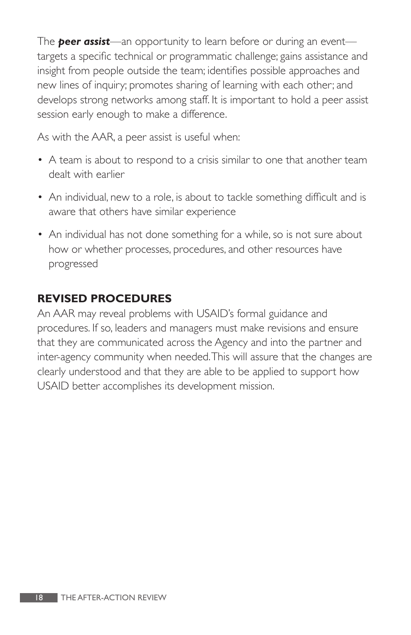The *peer assist*—an opportunity to learn before or during an event targets a specific technical or programmatic challenge; gains assistance and insight from people outside the team; identifies possible approaches and new lines of inquiry; promotes sharing of learning with each other; and develops strong networks among staff. It is important to hold a peer assist session early enough to make a difference.

As with the AAR, a peer assist is useful when:

- A team is about to respond to a crisis similar to one that another team dealt with earlier
- An individual, new to a role, is about to tackle something difficult and is aware that others have similar experience
- An individual has not done something for a while, so is not sure about how or whether processes, procedures, and other resources have progressed

#### **REVISED PROCEDURES**

An AAR may reveal problems with USAID's formal guidance and procedures. If so, leaders and managers must make revisions and ensure that they are communicated across the Agency and into the partner and inter-agency community when needed.This will assure that the changes are clearly understood and that they are able to be applied to support how USAID better accomplishes its development mission.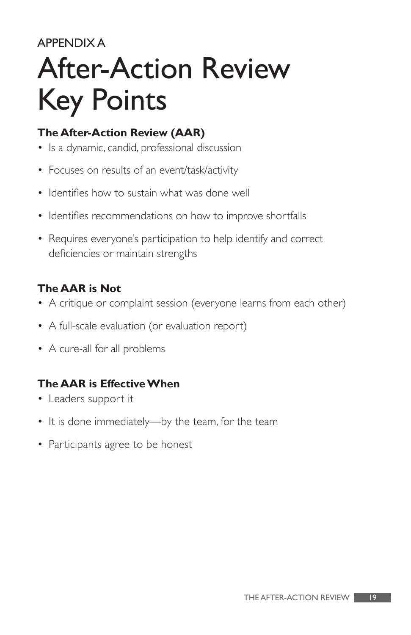#### APPENDIX A

# After-Action Review Key Points

#### **The After-Action Review (AAR)**

- Is a dynamic, candid, professional discussion
- Focuses on results of an event/task/activity
- Identifies how to sustain what was done well
- Identifies recommendations on how to improve shortfalls
- Requires everyone's participation to help identify and correct deficiencies or maintain strengths

#### **The AAR is Not**

- A critique or complaint session (everyone learns from each other)
- A full-scale evaluation (or evaluation report)
- A cure-all for all problems

#### **The AAR is Effective When**

- Leaders support it
- It is done immediately—by the team, for the team
- Participants agree to be honest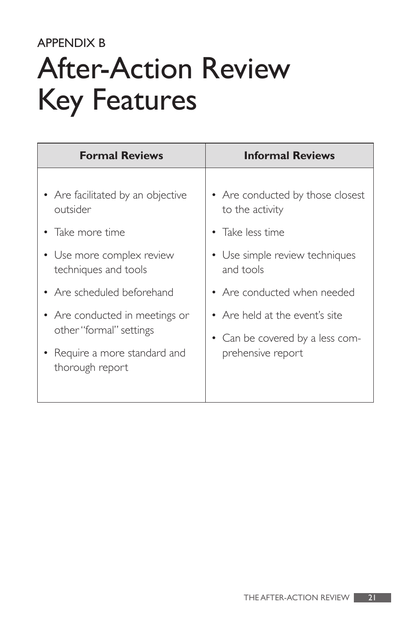#### APPENDIX B

# After-Action Review Key Features

| <b>Formal Reviews</b>                                                                                                                                                                                                                                               | <b>Informal Reviews</b>                                                                                                                                                                                                                         |
|---------------------------------------------------------------------------------------------------------------------------------------------------------------------------------------------------------------------------------------------------------------------|-------------------------------------------------------------------------------------------------------------------------------------------------------------------------------------------------------------------------------------------------|
| • Are facilitated by an objective<br>outsider<br>Take more time<br>• Use more complex review<br>techniques and tools<br>• Are scheduled beforehand<br>• Are conducted in meetings or<br>other "formal" settings<br>• Require a more standard and<br>thorough report | • Are conducted by those closest<br>to the activity<br>• Take less time<br>• Use simple review techniques<br>and tools<br>• Are conducted when needed<br>• Are held at the event's site<br>• Can be covered by a less com-<br>prehensive report |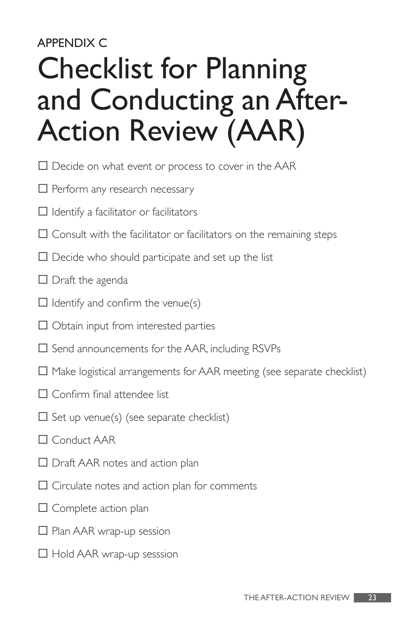## APPENDIX C Checklist for Planning and Conducting an After-Action Review (AAR)

- $\square$  Decide on what event or process to cover in the AAR
- $\Box$  Perform any research necessary
- $\Box$  Identify a facilitator or facilitators
- $\Box$  Consult with the facilitator or facilitators on the remaining steps
- $\square$  Decide who should participate and set up the list
- $\Box$  Draft the agenda
- $\Box$  Identify and confirm the venue(s)
- $\Box$  Obtain input from interested parties
- $\square$  Send announcements for the AAR, including RSVPs
- $\Box$  Make logistical arrangements for AAR meeting (see separate checklist)
- $\Box$  Confirm final attendee list
- $\square$  Set up venue(s) (see separate checklist)
- $\Box$  Conduct AAR
- $\Box$  Draft AAR notes and action plan
- $\Box$  Circulate notes and action plan for comments
- $\square$  Complete action plan
- $\Box$  Plan AAR wrap-up session
- $\Box$  Hold AAR wrap-up sesssion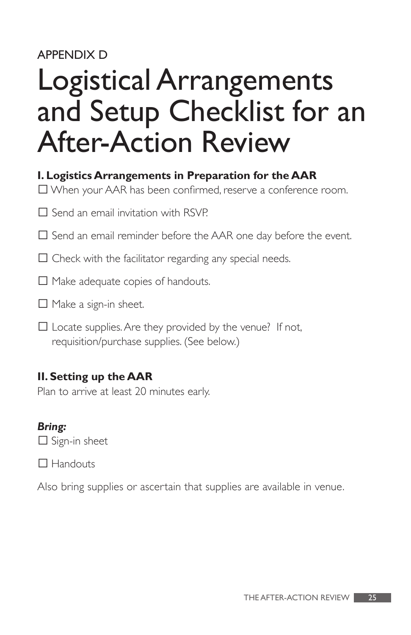#### APPENDIX D

## Logistical Arrangements and Setup Checklist for an After-Action Review

#### **I. Logistics Arrangements in Preparation for the AAR**

 $\Box$  When your AAR has been confirmed, reserve a conference room.

 $\square$  Send an email invitation with RSVP.

 $\Box$  Send an email reminder before the AAR one day before the event.

 $\Box$  Check with the facilitator regarding any special needs.

 $\Box$  Make adequate copies of handouts.

- $\Box$  Make a sign-in sheet.
- $\square$  Locate supplies. Are they provided by the venue? If not, requisition/purchase supplies. (See below.)

#### **II. Setting up the AAR**

Plan to arrive at least 20 minutes early.

#### *Bring:*

 $\Box$  Sign-in sheet

 $\Box$  Handouts

Also bring supplies or ascertain that supplies are available in venue.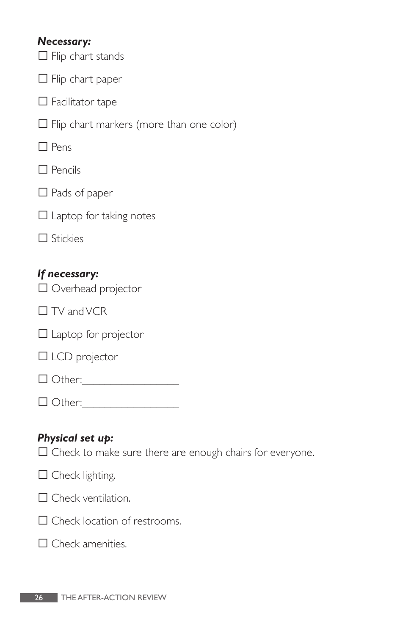#### *Necessary:*

 $\Box$  Flip chart stands

 $\Box$  Flip chart paper

 $\square$  Facilitator tape

 $\Box$  Flip chart markers (more than one color)

 $\Box$  Pens

 $\square$  Pencils

 $\Box$  Pads of paper

 $\square$  Laptop for taking notes

| TICK |  |
|------|--|
|------|--|

#### *If necessary:*

□ Overhead projector

 $\Box$  TV and VCR

 $\Box$  Laptop for projector

 $\square$  LCD projector

� Other:\_\_\_\_\_\_\_\_\_\_\_\_\_\_\_\_\_

 $\Box$  Other:

#### *Physical set up:*

 $\Box$  Check to make sure there are enough chairs for everyone.

| $\Box$ Check lighting. |  |
|------------------------|--|
|------------------------|--|

| $\Box$ Check ventilation. |  |
|---------------------------|--|
|---------------------------|--|

 $\Box$  Check location of restrooms.

 $\square$  Check amenities.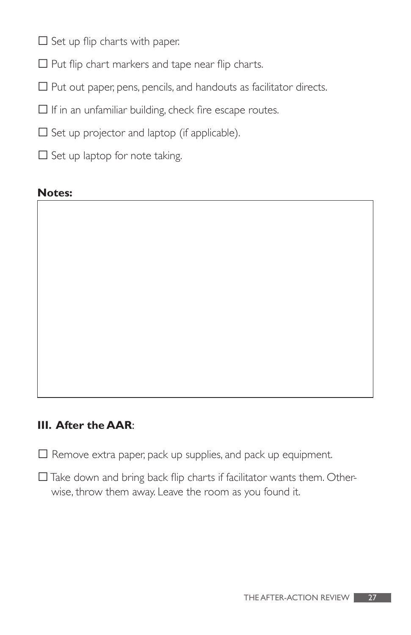$\Box$  Set up flip charts with paper.

 $\Box$  Put flip chart markers and tape near flip charts.

- $\Box$  Put out paper, pens, pencils, and handouts as facilitator directs.
- $\Box$  If in an unfamiliar building, check fire escape routes.
- $\square$  Set up projector and laptop (if applicable).
- $\square$  Set up laptop for note taking.

#### **Notes:**

#### **III. After the AAR**:

- $\Box$  Remove extra paper, pack up supplies, and pack up equipment.
- $\Box$  Take down and bring back flip charts if facilitator wants them. Otherwise, throw them away. Leave the room as you found it.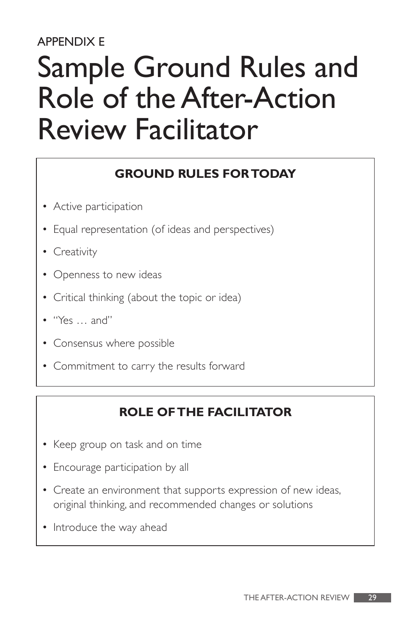#### APPENDIX E

## Sample Ground Rules and Role of the After-Action Review Facilitator

#### **GROUND RULES FOR TODAY**

- Active participation
- Equal representation (of ideas and perspectives)
- **Creativity**
- Openness to new ideas
- Critical thinking (about the topic or idea)
- "Yes … and"
- Consensus where possible
- Commitment to carry the results forward

#### **ROLE OF THE FACILITATOR**

- Keep group on task and on time
- Encourage participation by all
- Create an environment that supports expression of new ideas, original thinking, and recommended changes or solutions
- Introduce the way ahead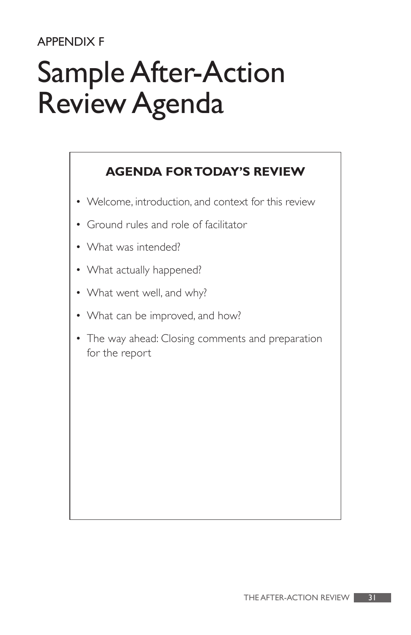#### APPENDIX F

# Sample After-Action Review Agenda

#### **AGENDA FOR TODAY'S REVIEW**

- Welcome, introduction, and context for this review
- Ground rules and role of facilitator
- What was intended?
- What actually happened?
- What went well, and why?
- What can be improved, and how?
- The way ahead: Closing comments and preparation for the report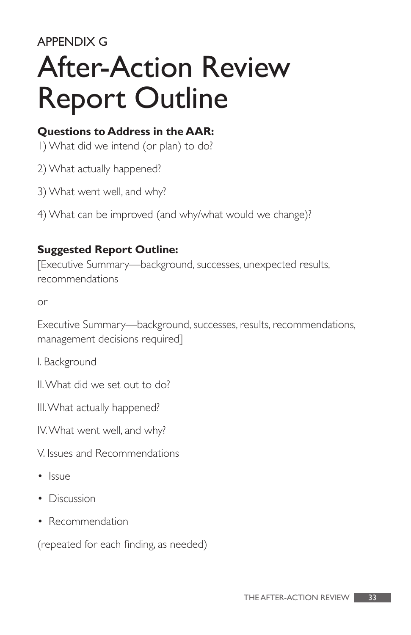#### APPENDIX G

# After-Action Review Report Outline

#### **Questions to Address in the AAR:**

- 1) What did we intend (or plan) to do?
- 2) What actually happened?
- 3) What went well, and why?
- 4) What can be improved (and why/what would we change)?

#### **Suggested Report Outline:**

[Executive Summary—background, successes, unexpected results, recommendations

or

Executive Summary—background, successes, results, recommendations, management decisions required]

I. Background

II. What did we set out to do?

III. What actually happened?

IV. What went well, and why?

- V. Issues and Recommendations
- Issue
- Discussion
- Recommendation

(repeated for each finding, as needed)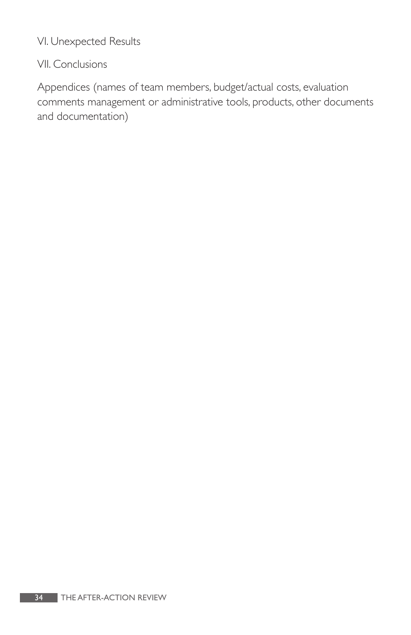VI. Unexpected Results

#### VII. Conclusions

Appendices (names of team members, budget/actual costs, evaluation comments management or administrative tools, products, other documents and documentation)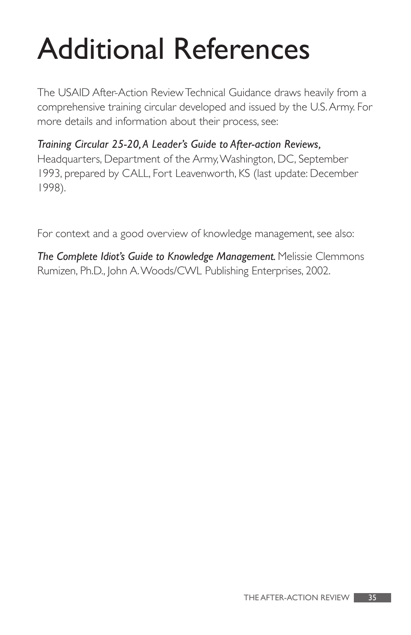# Additional References

The USAID After-Action Review Technical Guidance draws heavily from a comprehensive training circular developed and issued by the U.S. Army. For more details and information about their process, see:

*Training Circular 25-20, A Leader's Guide to After-action Reviews,*  Headquarters, Department of the Army, Washington, DC, September 1993, prepared by CALL, Fort Leavenworth, KS (last update: December 1998).

For context and a good overview of knowledge management, see also:

*The Complete Idiot's Guide to Knowledge Management.* Melissie Clemmons Rumizen, Ph.D., John A. Woods/CWL Publishing Enterprises, 2002.